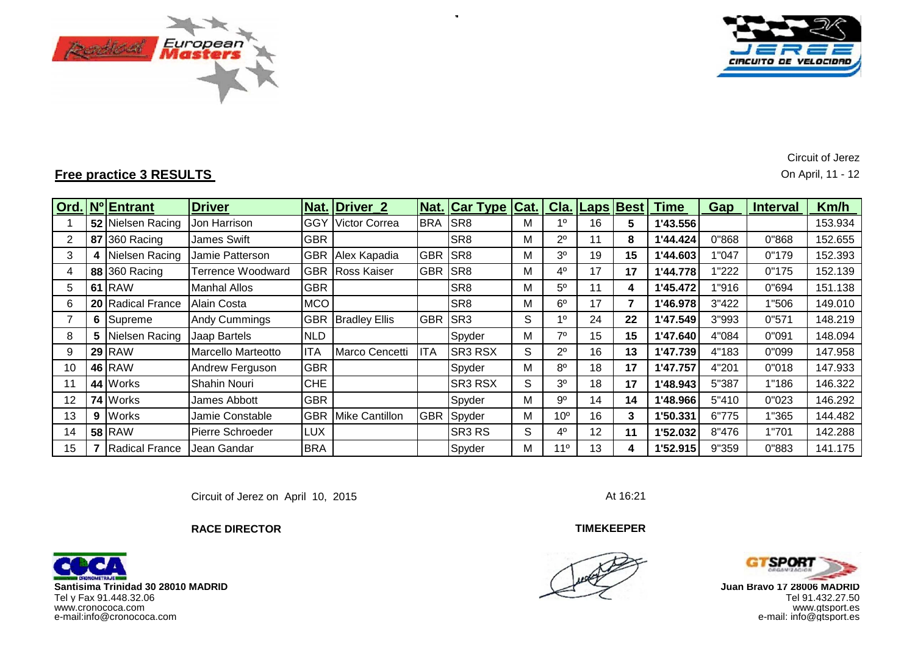



**Free practice 3 RESULTS** On April, 11 - 12

Circuit of Jerez

|    |                 | Ord. Nº Entrant   | <b>Driver</b>           |            | Nat. Driver 2        |            | Nat.  Car Type  Cat.   Cla.  Laps  Best |   |                 |    |    | Time     | Gap   | <b>Interval</b> | Km/h    |
|----|-----------------|-------------------|-------------------------|------------|----------------------|------------|-----------------------------------------|---|-----------------|----|----|----------|-------|-----------------|---------|
|    |                 | 52 Nielsen Racing | Jon Harrison            | IGGY       | Victor Correa        | <b>BRA</b> | SR <sub>8</sub>                         |   | 10              | 16 | 5  | 1'43.556 |       |                 | 153.934 |
|    |                 | 87 360 Racing     | <b>James Swift</b>      | <b>GBR</b> |                      |            | SR <sub>8</sub>                         | М | $2^{\circ}$     | 11 | 8  | 1'44.424 | 0"868 | 0"868           | 152.655 |
| 3  | 4               | Nielsen Racing    | Jamie Patterson         | <b>GBR</b> | Alex Kapadia         | <b>GBR</b> | SR <sub>8</sub>                         | М | 3 <sup>o</sup>  | 19 | 15 | 1'44.603 | 1"047 | 0"179           | 152.393 |
| 4  |                 | 88 360 Racing     | Terrence Woodward       | <b>GBR</b> | Ross Kaiser          | <b>GBR</b> | SR <sub>8</sub>                         | M | $4^{\circ}$     | 17 | 17 | 1'44.778 | 1"222 | 0"175           | 152.139 |
| 5  |                 | <b>61 RAW</b>     | <b>Manhal Allos</b>     | <b>GBR</b> |                      |            | SR <sub>8</sub>                         | M | $5^{\circ}$     | 11 | 4  | 1'45.472 | 1"916 | 0"694           | 151.138 |
| 6  |                 | 20 Radical France | Alain Costa             | <b>MCO</b> |                      |            | SR <sub>8</sub>                         | М | $6^{\circ}$     | 17 |    | 1'46.978 | 3"422 | 1"506           | 149.010 |
|    |                 | 6 Supreme         | Andy Cummings           | <b>GBR</b> | <b>Bradley Ellis</b> | <b>GBR</b> | SR <sub>3</sub>                         | S | 10              | 24 | 22 | 1'47.549 | 3"993 | 0"571           | 148.219 |
| 8  | 5.              | Nielsen Racing    | Jaap Bartels            | <b>NLD</b> |                      |            | Spyder                                  | М | 70              | 15 | 15 | 1'47.640 | 4"084 | 0"091           | 148.094 |
| 9  | 29 <sub>1</sub> | <b>RAW</b>        | Marcello Marteotto      | <b>ITA</b> | Marco Cencetti       | <b>ITA</b> | SR3 RSX                                 | S | $2^{\circ}$     | 16 | 13 | 1'47.739 | 4"183 | 0"099           | 147.958 |
| 10 |                 | <b>46 RAW</b>     | Andrew Ferguson         | <b>GBR</b> |                      |            | Spyder                                  | М | $8^{\circ}$     | 18 | 17 | 1'47.757 | 4"201 | 0"018           | 147.933 |
| 11 |                 | 44 Works          | Shahin Nouri            | <b>CHE</b> |                      |            | SR3 RSX                                 | S | 3 <sup>0</sup>  | 18 | 17 | 1'48.943 | 5"387 | 1"186           | 146.322 |
| 12 |                 | 74 Works          | James Abbott            | <b>GBR</b> |                      |            | Spyder                                  | М | $9^{\circ}$     | 14 | 14 | 1'48.966 | 5"410 | 0"023           | 146.292 |
| 13 | 9               | Works             | Jamie Constable         | <b>GBR</b> | Mike Cantillon       | <b>GBR</b> | Spyder                                  | М | 10 <sup>o</sup> | 16 | 3  | 1'50.331 | 6"775 | 1"365           | 144.482 |
| 14 |                 | <b>58 RAW</b>     | <b>Pierre Schroeder</b> | <b>LUX</b> |                      |            | SR <sub>3</sub> R <sub>S</sub>          | S | $4^{\circ}$     | 12 | 11 | 1'52.032 | 8"476 | 1"701           | 142.288 |
| 15 |                 | Radical France    | Jean Gandar             | <b>BRA</b> |                      |            | Spyder                                  | Μ | 11 <sup>°</sup> | 13 | 4  | 1'52.915 | 9"359 | 0"883           | 141.175 |

÷.

Circuit of Jerez on April 10, 2015

**TIMEKEEPER**





 **Juan Bravo 17 28006 MADRID** www.gtsport.es e-mail: info@gtsport.es



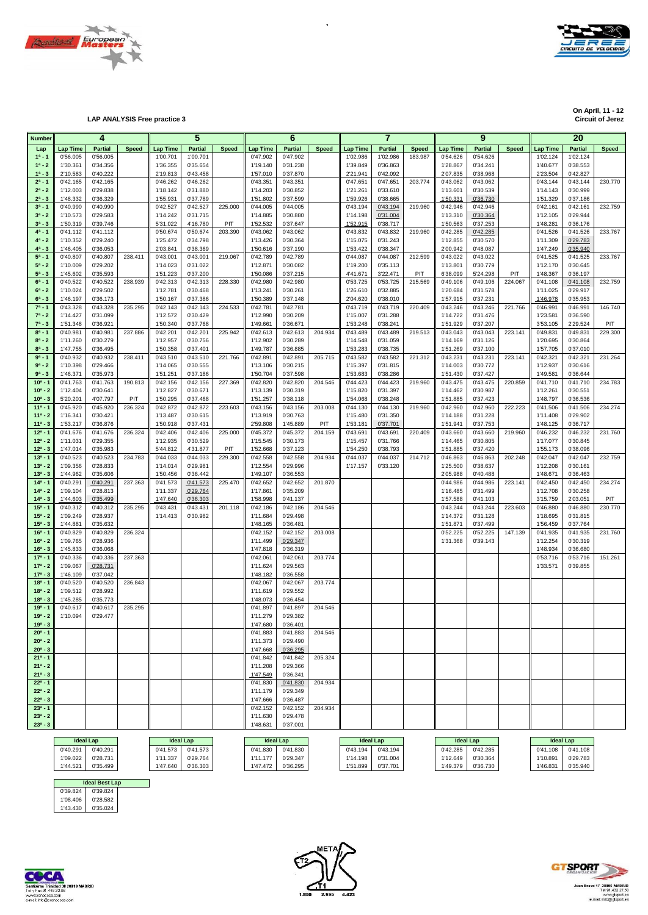



**LAP ANALYSIS Free practice 3** 

**On April, 11 - 12**

| <b>Number</b>              |                      | 4                    |              |                      | 5                    |              |                      | 6                    |              |                      | 7                    |              |                      | 9                    |              |                      | 20                   |                |
|----------------------------|----------------------|----------------------|--------------|----------------------|----------------------|--------------|----------------------|----------------------|--------------|----------------------|----------------------|--------------|----------------------|----------------------|--------------|----------------------|----------------------|----------------|
| Lap                        | <b>Lap Time</b>      | <b>Partial</b>       | <b>Speed</b> | <b>Lap Time</b>      | Partial              | <b>Speed</b> | <b>Lap Time</b>      | <b>Partial</b>       | <b>Speed</b> | <b>Lap Time</b>      | <b>Partial</b>       | <b>Speed</b> | <b>Lap Time</b>      | <b>Partial</b>       | <b>Speed</b> | <b>Lap Time</b>      | <b>Partial</b>       | <b>Speed</b>   |
| $1^a - 1$                  | 0'56.005             | 0'56.005             |              | 1'00.701             | 1'00.701             |              | 0'47.902             | 0'47.902             |              | 1'02.986             | 1'02.986             | 183.987      | 0'54.626             | 0'54.626             |              | 1'02.124             | 1'02.124             |                |
| $1^a - 2$                  | 1'30.361             | 0'34.356             |              | 1'36.355             | 0'35.654             |              | 1'19.140             | 0'31.238             |              | 1'39.849             | 0'36.863             |              | 1'28.867             | 0'34.241             |              | 1'40.677             | 0'38.553             |                |
| $1^a - 3$                  | 2'10.583             | 0'40.222             |              | 2'19.813             | 0'43.458             |              | 1'57.010             | 0'37.870             |              | 2'21.941             | 0'42.092             |              | 2'07.835             | 0'38.968             |              | 2'23.504             | 0'42.827             |                |
| $2^a - 1$                  | 0'42.165             | 0'42.165             |              | 0'46.262             | 0'46.262             |              | 0'43.351             | 0'43.351             |              | 0'47.651             | 0'47.651             | 203.774      | 0'43.062             | 0'43.062             |              | 0'43.144             | 0'43.144             | 230.770        |
| $2^a - 2$<br>$2^a - 3$     | 1'12.003<br>1'48.332 | 0'29.838<br>0'36.329 |              | 1'18.142<br>1'55.931 | 0'31.880<br>0'37.789 |              | 1'14.203<br>1'51.802 | 0'30.852<br>0'37.599 |              | 1'21.261<br>1'59.926 | 0'33.610<br>0'38.665 |              | 1'13.601<br>1'50.331 | 0'30.539<br>0'36.730 |              | 1'14.143<br>1'51.329 | 0'30.999<br>0'37.186 |                |
| $3^{a} - 1$                | 0'40.990             | 0'40.990             |              | 0'42.527             | 0'42.527             | 225.000      | 0'44.005             | 0'44.005             |              | 0'43.194             | 0'43.194             | 219.960      | 0'42.946             | 0'42.946             |              | 0'42.161             | 0'42.161             | 232.759        |
| $3^a - 2$                  | 1'10.573             | 0'29.583             |              | 1'14.242             | 0'31.715             |              | 1'14.885             | 0'30.880             |              | 1'14.198             | 0'31.004             |              | 1'13.310             | 0'30.364             |              | 1'12.105             | 0'29.944             |                |
| $3^a - 3$                  | 1'50.319             | 0'39.746             |              | 5'31.022             | 4'16.780             | PIT          | 1'52.532             | 0'37.647             |              | 1'52.915             | 0'38.717             |              | 1'50.563             | 0'37.253             |              | 1'48.281             | 0'36.176             |                |
| $4^a - 1$                  | 0'41.112             | 0'41.112             |              | 0'50.674             | 0'50.674             | 203.390      | 0'43.062             | 0'43.062             |              | 0'43.832             | 0'43.832             | 219.960      | 0'42.285             | 0'42.285             |              | 0'41.526             | 0'41.526             | 233.767        |
| $4^a - 2$                  | 1'10.352             | 0'29.240             |              | 1'25.472             | 0'34.798             |              | 1'13.426             | 0'30.364             |              | 1'15.075             | 0'31.243             |              | 1'12.855             | 0'30.570             |              | 1'11.309             | 0'29.783             |                |
| $4^a - 3$                  | 1'46.405             | 0'36.053             |              | 2'03.841             | 0'38.369             |              | 1'50.616             | 0'37.190             |              | 1'53.422             | 0'38.347             |              | 2'00.942             | 0'48.087             |              | 1'47.249             | 0'35.940             |                |
| $5^a - 1$<br>$5^a - 2$     | 0'40.807<br>1'10.009 | 0'40.807<br>0'29.202 | 238.411      | 0'43.001<br>1'14.023 | 0'43.001<br>0'31.022 | 219.067      | 0'42.789<br>1'12.871 | 0'42.789<br>0'30.082 |              | 0'44.087<br>1'19.200 | 0'44.087<br>0'35.113 | 212.599      | 0'43.022<br>1'13.801 | 0'43.022<br>0'30.779 |              | 0'41.525<br>1'12.170 | 0'41.525<br>0'30.645 | 233.767        |
| $5^a - 3$                  | 1'45.602             | 0'35.593             |              | 1'51.223             | 0'37.200             |              | 1'50.086             | 0'37.215             |              | 4'41.671             | 3'22.471             | PIT          | 6'38.099             | 5'24.298             | PIT          | 1'48.367             | 0'36.197             |                |
| $6^a - 1$                  | 0'40.522             | 0'40.522             | 238.939      | 0'42.313             | 0'42.313             | 228.330      | 0'42.980             | 0'42.980             |              | 0'53.725             | 0'53.725             | 215.569      | 0'49.106             | 0'49.106             | 224.067      | 0'41.108             | 0'41.108             | 232.759        |
| $6^a - 2$                  | 1'10.024             | 0'29.502             |              | 1'12.781             | 0'30.468             |              | 1'13.241             | 0'30.261             |              | 1'26.610             | 0'32.885             |              | 1'20.684             | 0'31.578             |              | 1'11.025             | 0'29.917             |                |
| $6^a - 3$                  | 1'46.197             | 0'36.173             |              | 1'50.167             | 0'37.386             |              | 1'50.389             | 0'37.148             |              | 2'04.620             | 0'38.010             |              | 1'57.915             | 0'37.231             |              | 1'46.978             | 0'35.953             |                |
| $7^a - 1$                  | 0'43.328             | 0'43.328             | 235.295      | 0'42.143             | 0'42.143             | 224.533      | 0'42.781             | 0'42.781             |              | 0'43.719             | 0'43.719             | 220.409      | 0'43.246             | 0'43.246             | 221.766      | 0'46.991             | 0'46.991             | 146.740        |
| $7^a - 2$<br>$7^a - 3$     | 1'14.427<br>1'51.348 | 0'31.099<br>0'36.921 |              | 1'12.572<br>1'50.340 | 0'30.429<br>0'37.768 |              | 1'12.990<br>1'49.661 | 0'30.209<br>0'36.671 |              | 1'15.007<br>1'53.248 | 0'31.288<br>0'38.241 |              | 1'14.722<br>1'51.929 | 0'31.476<br>0'37.207 |              | 1'23.581<br>3'53.105 | 0'36.590<br>2'29.524 | PIT            |
| $8^a - 1$                  | 0'40.981             | 0'40.981             | 237.886      | 0'42.201             | 0'42.201             | 225.942      | 0'42.613             | 0'42.613             | 204.934      | 0'43.489             | 0'43.489             | 219.513      | 0'43.043             | 0'43.043             | 223.141      | 0'49.831             | 0'49.831             | 229.300        |
| $8^a - 2$                  | 1'11.260             | 0'30.279             |              | 1'12.957             | 0'30.756             |              | 1'12.902             | 0'30.289             |              | 1'14.548             | 0'31.059             |              | 1'14.169             | 0'31.126             |              | 1'20.695             | 0'30.864             |                |
| $8^a - 3$                  | 1'47.755             | 0'36.495             |              | 1'50.358             | 0'37.401             |              | 1'49.787             | 0'36.885             |              | 1'53.283             | 0'38.735             |              | 1'51.269             | 0'37.100             |              | 1'57.705             | 0'37.010             |                |
| $9^{a} - 1$                | 0'40.932             | 0'40.932             | 238.411      | 0'43.510             | 0'43.510             | 221.766      | 0'42.891             | 0'42.891             | 205.715      | 0'43.582             | 0'43.582             | 221.312      | 0'43.231             | 0'43.231             | 223.141      | 0'42.321             | 0'42.321             | 231.264        |
| $9a - 2$                   | 1'10.398             | 0'29.466             |              | 1'14.065             | 0'30.555             |              | 1'13.106             | 0'30.215             |              | 1'15.397             | 0'31.815             |              | 1'14.003             | 0'30.772             |              | 1'12.937             | 0'30.616             |                |
| $9^a - 3$                  | 1'46.371             | 0'35.973             |              | 1'51.251             | 0'37.186             |              | 1'50.704             | 0'37.598             |              | 1'53.683             | 0'38.286             |              | 1'51.430             | 0'37.427             |              | 1'49.581             | 0'36.644             |                |
| $10^{a} - 1$<br>$10^a - 2$ | 0'41.763<br>1'12.404 | 0'41.763<br>0'30.641 | 190.813      | 0'42.156<br>1'12.827 | 0'42.156<br>0'30.671 | 227.369      | 0'42.820<br>1'13.139 | 0'42.820<br>0'30.319 | 204.546      | 0'44.423<br>1'15.820 | 0'44.423<br>0'31.397 | 219.960      | 0'43.475<br>1'14.462 | 0'43.475<br>0'30.987 | 220.859      | 0'41.710<br>1'12.261 | 0'41.710<br>0'30.551 | 234.783        |
| $10^a - 3$                 | 5'20.201             | 4'07.797             | PIT          | 1'50.295             | 0'37.468             |              | 1'51.257             | 0'38.118             |              | 1'54.068             | 0'38.248             |              | 1'51.885             | 0'37.423             |              | 1'48.797             | 0'36.536             |                |
| $11a - 1$                  | 0'45.920             | 0'45.920             | 236.324      | 0'42.872             | 0'42.872             | 223.603      | 0'43.156             | 0'43.156             | 203.008      | 0'44.130             | 0'44.130             | 219.960      | 0'42.960             | 0'42.960             | 222.223      | 0'41.506             | 0'41.506             | 234.274        |
| $11a - 2$                  | 1'16.341             | 0'30.421             |              | 1'13.487             | 0'30.615             |              | 1'13.919             | 0'30.763             |              | 1'15.480             | 0'31.350             |              | 1'14.188             | 0'31.228             |              | 1'11.408             | 0'29.902             |                |
| $11a - 3$                  | 1'53.217             | 0'36.876             |              | 1'50.918             | 0'37.431             |              | 2'59.808             | 1'45.889             | PIT          | 1'53.181             | 0'37.701             |              | 1'51.941             | 0'37.753             |              | 1'48.125             | 0'36.717             |                |
| $12a - 1$                  | 0'41.676             | 0'41.676             | 236.324      | 0'42.406             | 0'42.406             | 225.000      | 0'45.372             | 0'45.372             | 204.159      | 0'43.691             | 0'43.691             | 220.409      | 0'43.660             | 0'43.660             | 219.960      | 0'46.232             | 0'46.232             | 231.760        |
| $12^a - 2$<br>$12^a - 3$   | 1'11.031<br>1'47.014 | 0'29.355<br>0'35.983 |              | 1'12.935<br>5'44.812 | 0'30.529<br>4'31.877 | PIT          | 1'15.545<br>1'52.668 | 0'30.173<br>0'37.123 |              | 1'15.457<br>1'54.250 | 0'31.766<br>0'38.793 |              | 1'14.465<br>1'51.885 | 0'30.805<br>0'37.420 |              | 1'17.077<br>1'55.173 | 0'30.845<br>0'38.096 |                |
| $13a - 1$                  | 0'40.523             | 0'40.523             | 234.783      | 0'44.033             | 0'44.033             | 229.300      | 0'42.558             | 0'42.558             | 204.934      | 0'44.037             | 0'44.037             | 214.712      | 0'46.863             | 0'46.863             | 202.248      | 0'42.047             | 0'42.047             | 232.759        |
| $13^a - 2$                 | 1'09.356             | 0'28.833             |              | 1'14.014             | 0'29.981             |              | 1'12.554             | 0'29.996             |              | 1'17.157             | 0'33.120             |              | 1'25.500             | 0'38.637             |              | 1'12.208             | 0'30.161             |                |
| $13^a - 3$                 | 1'44.962             | 0'35.606             |              | 1'50.456             | 0'36.442             |              | 1'49.107             | 0'36.553             |              |                      |                      |              | 2'05.988             | 0'40.488             |              | 1'48.671             | 0'36.463             |                |
| $14a - 1$                  | 0'40.291             | 0'40.291             | 237.363      | 0'41.573             | 0'41.573             | 225.470      | 0'42.652             | 0'42.652             | 201.870      |                      |                      |              | 0'44.986             | 0'44.986             | 223.141      | 0'42.450             | 0'42.450             | 234.274        |
| $14a - 2$                  | 1'09.104             | 0'28.813             |              | 1'11.337             | 0'29.764             |              | 1'17.861             | 0'35.209             |              |                      |                      |              | 1'16.485             | 0'31.499             |              | 1'12.708             | 0'30.258             |                |
| $14^a - 3$<br>$15a - 1$    | 1'44.603<br>0'40.312 | 0'35.499<br>0'40.312 | 235.295      | 1'47.640<br>0'43.431 | 0'36.303<br>0'43.431 | 201.118      | 1'58.998<br>0'42.186 | 0'41.137<br>0'42.186 | 204.546      |                      |                      |              | 1'57.588<br>0'43.244 | 0'41.103<br>0'43.244 | 223.603      | 3'15.759<br>0'46.880 | 2'03.051<br>0'46.880 | PIT<br>230.770 |
| $15^a - 2$                 | 1'09.249             | 0'28.937             |              | 1'14.413             | 0'30.982             |              | 1'11.684             | 0'29.498             |              |                      |                      |              | 1'14.372             | 0'31.128             |              | 1'18.695             | 0'31.815             |                |
| $15^a - 3$                 | 1'44.881             | 0'35.632             |              |                      |                      |              | 1'48.165             | 0'36.481             |              |                      |                      |              | 1'51.871             | 0'37.499             |              | 1'56.459             | 0'37.764             |                |
| $16a - 1$                  | 0'40.829             | 0'40.829             | 236.324      |                      |                      |              | 0'42.152             | 0'42.152             | 203.008      |                      |                      |              | 0'52.225             | 0'52.225             | 147.139      | 0'41.935             | 0'41.935             | 231.760        |
| $16^a - 2$                 | 1'09.765             | 0'28.936             |              |                      |                      |              | 1'11.499             | 0'29.347             |              |                      |                      |              | 1'31.368             | 0'39.143             |              | 1'12.254             | 0'30.319             |                |
| $16^a - 3$<br>$17a - 1$    | 1'45.833<br>0'40.336 | 0'36.068<br>0'40.336 | 237.363      |                      |                      |              | 1'47.818             | 0'36.319             | 203.774      |                      |                      |              |                      |                      |              | 1'48.934             | 0'36.680             | 151.261        |
| $17a - 2$                  | 1'09.067             | 0'28.731             |              |                      |                      |              | 0'42.061<br>1'11.624 | 0'42.061<br>0'29.563 |              |                      |                      |              |                      |                      |              | 0'53.716<br>1'33.571 | 0'53.716<br>0'39.855 |                |
| $17a - 3$                  | 1'46.109             | 0'37.042             |              |                      |                      |              | 1'48.182             | 0'36.558             |              |                      |                      |              |                      |                      |              |                      |                      |                |
| $18a - 1$                  | 0'40.520             | 0'40.520             | 236.843      |                      |                      |              | 0'42.067             | 0'42.067             | 203.774      |                      |                      |              |                      |                      |              |                      |                      |                |
| $18a - 2$                  | 1'09.512             | 0'28.992             |              |                      |                      |              | 1'11.619             | 0'29.552             |              |                      |                      |              |                      |                      |              |                      |                      |                |
| $18a - 3$                  | 1'45.285             | 0'35.773             |              |                      |                      |              | 1'48.073             | 0'36.454             |              |                      |                      |              |                      |                      |              |                      |                      |                |
| $19a - 1$<br>$19a - 2$     | 0'40.617<br>1'10.094 | 0'40.617<br>0'29.477 | 235.295      |                      |                      |              | 0'41.897<br>1'11.279 | 0'41.897<br>0'29.382 | 204.546      |                      |                      |              |                      |                      |              |                      |                      |                |
| $19a - 3$                  |                      |                      |              |                      |                      |              | 1'47.680             | 0'36.401             |              |                      |                      |              |                      |                      |              |                      |                      |                |
| $20^a - 1$                 |                      |                      |              |                      |                      |              | 0'41.883             | 0'41.883             | 204.546      |                      |                      |              |                      |                      |              |                      |                      |                |
| $20^a - 2$                 |                      |                      |              |                      |                      |              | 1'11.373             | 0'29.490             |              |                      |                      |              |                      |                      |              |                      |                      |                |
| $20^a - 3$                 |                      |                      |              |                      |                      |              | 1'47.668             | 0'36.295             |              |                      |                      |              |                      |                      |              |                      |                      |                |
| $21a - 1$                  |                      |                      |              |                      |                      |              | 0'41.842             | 0'41.842             | 205.324      |                      |                      |              |                      |                      |              |                      |                      |                |
| $21^a - 2$<br>$21^a - 3$   |                      |                      |              |                      |                      |              | 1'11.208<br>1'47.549 | 0'29.366<br>0'36.341 |              |                      |                      |              |                      |                      |              |                      |                      |                |
| $22^a - 1$                 |                      |                      |              |                      |                      |              | 0'41.830             | 0'41.830             | 204.934      |                      |                      |              |                      |                      |              |                      |                      |                |
| $22^a - 2$                 |                      |                      |              |                      |                      |              | 1'11.179             | 0'29.349             |              |                      |                      |              |                      |                      |              |                      |                      |                |
| $22^a - 3$                 |                      |                      |              |                      |                      |              | 1'47.666             | 0'36.487             |              |                      |                      |              |                      |                      |              |                      |                      |                |
| $23^a - 1$                 |                      |                      |              |                      |                      |              | 0'42.152             | 0'42.152             | 204.934      |                      |                      |              |                      |                      |              |                      |                      |                |
| $23^a - 2$                 |                      |                      |              |                      |                      |              | 1'11.630             | 0'29.478             |              |                      |                      |              |                      |                      |              |                      |                      |                |
| $23^a - 3$                 |                      |                      |              |                      |                      |              | 1'48.631             | 0'37.001             |              |                      |                      |              |                      |                      |              |                      |                      |                |
|                            | <b>Ideal Lap</b>     |                      |              | <b>Ideal Lap</b>     |                      |              |                      | <b>Ideal Lap</b>     |              |                      | <b>Ideal Lap</b>     |              | <b>Ideal Lap</b>     |                      |              |                      | <b>Ideal Lap</b>     |                |
|                            |                      | 0'40.291 0'40.291    |              |                      | 0'41.573 0'41.573    |              |                      | 0'41.830 0'41.830    |              |                      | 0'43.194 0'43.194    |              |                      | 0'42.285 0'42.285    |              |                      | 0'41.108 0'41.108    |                |

 $\ddot{\phantom{a}}$ 

| <b>Ideal Best Lap</b> |          |  |  |  |  |  |  |  |  |  |
|-----------------------|----------|--|--|--|--|--|--|--|--|--|
| 0'39.824              | 0'39.824 |  |  |  |  |  |  |  |  |  |
| 1'08.406              | 0'28.582 |  |  |  |  |  |  |  |  |  |
| 1'43.430              | 0'35.024 |  |  |  |  |  |  |  |  |  |





1'09.022 0'28.731 1'11.337 0'29.764 1'11.177 0'29.347 1'14.198 0'31.004 1'12.649 0'30.364 1'10.891 0'29.783<br>1'44.521 0'35.499 1'47.640 0'36.343 1'47.472 0'36.295 1'51.899 0'37.701 1'49.379 0'36.730 1'46.831 0'35.940

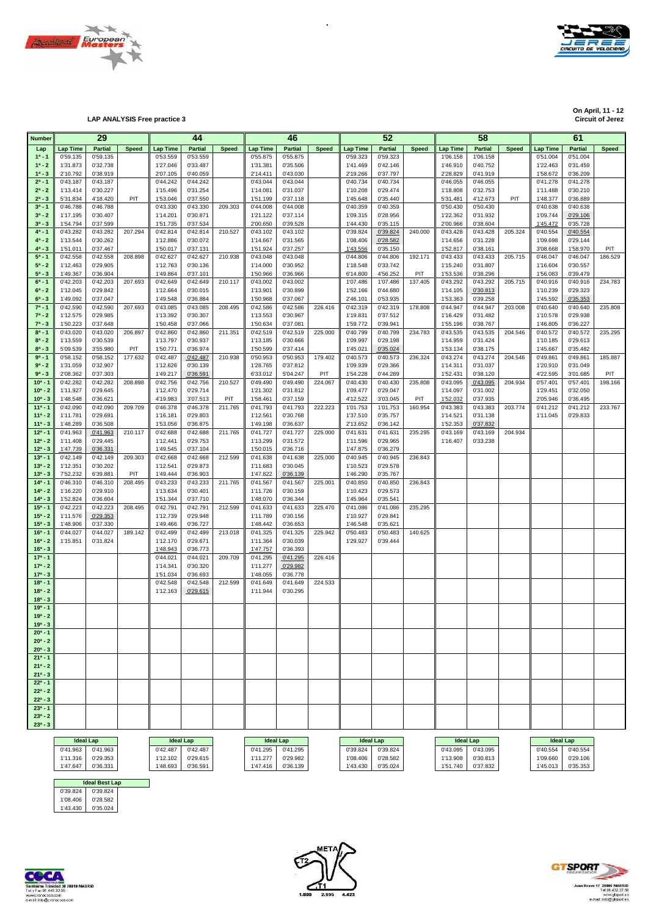



**Circuit of Jerez LAP ANALYSIS Free practice 3 Circuit of Jerez**

**On April, 11 - 12 On April, 11 - 12**

| <b>Number</b>            |          | 29                |              |                 | 44                |              |                 | 46                    |              |                 | 52                |              |                   | 58       |              |                 | 61                |              |
|--------------------------|----------|-------------------|--------------|-----------------|-------------------|--------------|-----------------|-----------------------|--------------|-----------------|-------------------|--------------|-------------------|----------|--------------|-----------------|-------------------|--------------|
| Lap                      | Lap Time | <b>Partial</b>    | <b>Speed</b> | <b>Lap Time</b> | <b>Partial</b>    | <b>Speed</b> | <b>Lap Time</b> | Partial               | <b>Speed</b> | <b>Lap Time</b> | <b>Partial</b>    | <b>Speed</b> | <b>Lap Time</b>   | Partial  | <b>Speed</b> | <b>Lap Time</b> | <b>Partial</b>    | <b>Speed</b> |
| $1^a - 1$                | 0'59.135 | 0'59.135          |              | 0'53.559        | 0'53.559          |              | 0'55.875        | 0'55.875              |              | 0'59.323        | 0'59.323          |              | 1'06.158          | 1'06.158 |              | 0'51.004        | 0'51.004          |              |
| $1^a - 2$                | 1'31.873 | 0'32.738          |              | 1'27.046        | 0'33.487          |              | 1'31.381        | 0'35.506              |              | 1'41.469        | 0'42.146          |              | 1'46.910          | 0'40.752 |              | 1'22.463        | 0'31.459          |              |
| $1^a - 3$                | 2'10.792 | 0'38.919          |              | 2'07.105        | 0'40.059          |              | 2'14.411        | 0'43.030              |              | 2'19.266        | 0'37.797          |              | 2'28.829          | 0'41.919 |              | 1'58.672        | 0'36.209          |              |
| $2^a - 1$                | 0'43.187 | 0'43.187          |              | 0'44.242        | 0'44.242          |              | 0'43.044        | 0'43.044              |              | 0'40.734        | 0'40.734          |              | 0'46.055          | 0'46.055 |              | 0'41.278        | 0'41.278          |              |
| $2^a - 2$                | 1'13.414 | 0'30.227          |              | 1'15.496        | 0'31.254          |              | 1'14.081        | 0'31.037              |              | 1'10.208        | 0'29.474          |              | 1'18.808          | 0'32.753 |              | 1'11.488        | 0'30.210          |              |
| $2^a - 3$                | 5'31.834 | 4'18.420          | PIT          | 1'53.046        | 0'37.550          |              | 1'51.199        | 0'37.118              |              | 1'45.648        | 0'35.440          |              | 5'31.481          | 4'12.673 | PIT          | 1'48.377        | 0'36.889          |              |
| $3^a - 1$                | 0'46.788 | 0'46.788          |              | 0'43.330        | 0'43.330          | 209.303      | 0'44.008        | 0'44.008              |              | 0'40.359        | 0'40.359          |              | 0'50.430          | 0'50.430 |              | 0'40.638        | 0'40.638          |              |
| $3^a - 2$                | 1'17.195 | 0'30.407          |              | 1'14.201        | 0'30.871          |              | 1'21.122        | 0'37.114              |              | 1'09.315        | 0'28.956          |              | 1'22.362          | 0'31.932 |              | 1'09.744        | 0'29.106          |              |
| $3^{a} - 3$              | 1'54.794 | 0'37.599          |              | 1'51.735        | 0'37.534          |              | 2'00.650        | 0'39.528              |              | 1'44.430        | 0'35.115          |              | 2'00.966          | 0'38.604 |              | 1'45.472        | 0'35.728          |              |
| $4^a - 1$                | 0'43.282 | 0'43.282          | 207.294      | 0'42.814        | 0'42.814          | 210.527      | 0'43.102        | 0'43.102              |              | 0'39.824        | 0'39.824          | 240.000      | 0'43.428          | 0'43.428 | 205.324      | 0'40.554        | 0'40.554          |              |
| $4^a - 2$                | 1'13.544 | 0'30.262          |              | 1'12.886        | 0'30.072          |              | 1'14.667        | 0'31.565              |              | 1'08.406        | 0'28.582          |              | 1'14.656          | 0'31.228 |              | 1'09.698        | 0'29.144          |              |
| $4^a - 3$                | 1'51.011 | 0'37.467          |              | 1'50.017        | 0'37.131          |              | 1'51.924        | 0'37.257              |              | 1'43.556        | 0'35.150          |              | 1'52.817          | 0'38.161 |              | 3'08.668        | 1'58.970          | PIT          |
| $5^a - 1$                | 0'42.558 | 0'42.558          | 208.898      | 0'42.627        | 0'42.627          | 210.938      | 0'43.048        | 0'43.048              |              | 0'44.806        | 0'44.806          | 192.171      | 0'43.433          | 0'43.433 | 205.715      | 0'46.047        | 0'46.047          | 186.529      |
| $5^a - 2$                | 1'12.463 | 0'29.905          |              | 1'12.763        | 0'30.136          |              | 1'14.000        | 0'30.952              |              | 1'18.548        | 0'33.742          |              | 1'15.240          | 0'31.807 |              | 1'16.604        | 0'30.557          |              |
| $5^a - 3$                | 1'49.367 | 0'36.904          |              | 1'49.864        | 0'37.101          |              | 1'50.966        | 0'36.966              |              | 6'14.800        | 4'56.252          | PIT          | 1'53.536          | 0'38.296 |              | 1'56.083        | 0'39.479          |              |
| $6^a - 1$                | 0'42.203 | 0'42.203          | 207.693      | 0'42.649        | 0'42.649          | 210.117      | 0'43.002        | 0'43.002              |              | 1'07.486        | 1'07.486          | 137.405      | 0'43.292          | 0'43.292 | 205.715      | 0'40.916        | 0'40.916          | 234.783      |
| $6^a - 2$                | 1'12.045 | 0'29.842          |              | 1'12.664        | 0'30.015          |              | 1'13.901        | 0'30.899              |              | 1'52.166        | 0'44.680          |              | 1'14.105          | 0'30.813 |              | 1'10.239        | 0'29.323          |              |
| $6^{a} - 3$              | 1'49.092 | 0'37.047          |              | 1'49.548        | 0'36.884          |              | 1'50.968        | 0'37.067              |              | 2'46.101        | 0'53.935          |              | 1'53.363          | 0'39.258 |              | 1'45.592        | 0'35.353          |              |
| $7^a - 1$                | 0'42.590 | 0'42.590          | 207.693      | 0'43.085        | 0'43.085          | 208.495      | 0'42.586        | 0'42.586              | 226.416      | 0'42.319        | 0'42.319          | 178.808      | 0'44.947          | 0'44.947 | 203.008      | 0'40.640        | 0'40.640          | 235.808      |
| $7^a - 2$                | 1'12.575 | 0'29.985          |              | 1'13.392        | 0'30.307          |              | 1'13.553        | 0'30.967              |              | 1'19.831        | 0'37.512          |              | 1'16.429          | 0'31.482 |              | 1'10.578        | 0'29.938          |              |
| $7^a - 3$                | 1'50.223 | 0'37.648          |              | 1'50.458        | 0'37.066          |              | 1'50.634        | 0'37.081              |              | 1'59.772        | 0'39.941          |              | 1'55.196          | 0'38.767 |              | 1'46.805        | 0'36.227          |              |
| $8^a - 1$                | 0'43.020 | 0'43.020          | 206.897      | 0'42.860        | 0'42.860          | 211.351      | 0'42.519        | 0'42.519              | 225.000      | 0'40.799        | 0'40.799          | 234.783      | 0'43.535          | 0'43.535 | 204.546      | 0'40.572        | 0'40.572          | 235.295      |
| $8^a - 2$                | 1'13.559 | 0'30.539          |              | 1'13.797        | 0'30.937          |              | 1'13.185        | 0'30.666              |              | 1'09.997        | 0'29.198          |              | 1'14.959          | 0'31.424 |              | 1'10.185        | 0'29.613          |              |
| $8^a - 3$                | 5'09.539 | 3'55.980          | PIT          | 1'50.771        | 0'36.974          |              | 1'50.599        | 0'37.414              |              | 1'45.021        | 0'35.024          |              | 1'53.134          | 0'38.175 |              | 1'45.667        | 0'35.482          |              |
| $9a - 1$                 | 0'58.152 | 0'58.152          | 177.632      | 0'42.487        | 0'42.487          | 210.938      | 0'50.953        | 0'50.953              | 179.402      | 0'40.573        | 0'40.573          | 236.324      | 0'43.274          | 0'43.274 | 204.546      | 0'49.861        | 0'49.861          | 185.887      |
| $9a - 2$                 | 1'31.059 | 0'32.907          |              | 1'12.626        | 0'30.139          |              | 1'28.765        | 0'37.812              |              | 1'09.939        | 0'29.366          |              | 1'14.311          | 0'31.037 |              | 1'20.910        | 0'31.049          |              |
| $9^a - 3$                | 2'08.362 | 0'37.303          |              | 1'49.217        | 0'36.591          |              | 6'33.012        | 5'04.247              | <b>PIT</b>   | 1'54.228        | 0'44.289          |              | 1'52.431          | 0'38.120 |              | 4'22.595        | 3'01.685          | PIT          |
| $10a - 1$                | 0'42.282 | 0'42.282          | 208.898      | 0'42.756        | 0'42.756          | 210.527      | 0'49.490        | 0'49.490              | 224.067      | 0'40.430        | 0'40.430          | 235.808      | 0'43.095          | 0'43.095 | 204.934      | 0'57.401        | 0'57.401          | 198.166      |
| $10^a - 2$               | 1'11.927 | 0'29.645          |              | 1'12.470        | 0'29.714          |              | 1'21.302        | 0'31.812              |              | 1'09.477        | 0'29.047          |              | 1'14.097          | 0'31.002 |              | 1'29.451        | 0'32.050          |              |
| $10^a - 3$               | 1'48.548 | 0'36.621          |              | 4'19.983        | 3'07.513          | PIT          | 1'58.461        | 0'37.159              |              | 4'12.522        | 3'03.045          | PIT          | 1'52.032          | 0'37.935 |              | 2'05.946        | 0'36.495          |              |
| $11a - 1$                | 0'42.090 | 0'42.090          | 209.709      | 0'46.378        | 0'46.378          | 211.765      | 0'41.793        | 0'41.793              | 222.223      | 1'01.753        | 1'01.753          | 160.954      | 0'43.383          | 0'43.383 | 203.774      | 0'41.212        | 0'41.212          | 233.767      |
| $11a - 2$                | 1'11.781 | 0'29.691          |              | 1'16.181        | 0'29.803          |              | 1'12.561        | 0'30.768              |              | 1'37.510        | 0'35.757          |              | 1'14.521          | 0'31.138 |              | 1'11.045        | 0'29.833          |              |
| $11a - 3$                | 1'48.289 | 0'36.508          |              | 1'53.056        | 0'36.875          |              | 1'49.198        | 0'36.637              |              | 2'13.652        | 0'36.142          |              | 1'52.353          | 0'37.832 |              |                 |                   |              |
| $12a - 1$                | 0'41.963 | 0'41.963          | 210.117      | 0'42.688        | 0'42.688          | 211.765      | 0'41.727        | 0'41.727              | 225.000      | 0'41.631        | 0'41.631          | 235.295      | 0'43.169          | 0'43.169 | 204.934      |                 |                   |              |
| $12^a - 2$               | 1'11.408 | 0'29.445          |              | 1'12.441        | 0'29.753          |              | 1'13.299        | 0'31.572              |              | 1'11.596        | 0'29.965          |              | 1'16.407          | 0'33.238 |              |                 |                   |              |
| $12^a - 3$               | 1'47.739 | 0'36.331          |              | 1'49.545        | 0'37.104          |              | 1'50.015        | 0'36.716              |              | 1'47.875        | 0'36.279          |              |                   |          |              |                 |                   |              |
| $13a - 1$                | 0'42.149 | 0'42.149          | 209.303      | 0'42.668        | 0'42.668          | 212.599      | 0'41.638        | 0'41.638              | 225.000      | 0'40.945        | 0'40.945          | 236.843      |                   |          |              |                 |                   |              |
| $13^a - 2$               | 1'12.351 | 0'30.202          |              | 1'12.541        | 0'29.873          |              | 1'11.683        | 0'30.045              |              | 1'10.523        | 0'29.578          |              |                   |          |              |                 |                   |              |
| $13^a - 3$               | 7'52.232 | 6'39.881          | PIT          | 1'49.444        | 0'36.903          |              | 1'47.822        | 0'36.139              |              | 1'46.290        | 0'35.767          |              |                   |          |              |                 |                   |              |
| $14a - 1$                | 0'46.310 | 0'46.310          | 208.495      | 0'43.233        | 0'43.233          | 211.765      | 0'41.567        | 0'41.567              | 225.001      | 0'40.850        | 0'40.850          | 236.843      |                   |          |              |                 |                   |              |
| $14^a - 2$               | 1'16.220 | 0'29.910          |              | 1'13.634        | 0'30.401          |              | 1'11.726        | 0'30.159              |              | 1'10.423        | 0'29.573          |              |                   |          |              |                 |                   |              |
| $14^a - 3$               | 1'52.824 | 0'36.604          |              | 1'51.344        | 0'37.710          |              | 1'48.070        | 0'36.344              |              | 1'45.964        | 0'35.541          |              |                   |          |              |                 |                   |              |
| $15a - 1$                | 0'42.223 | 0'42.223          | 208.495      | 0'42.791        | 0'42.791          | 212.599      | 0'41.633        | 0'41.633              | 225.470      | 0'41.086        | 0'41.086          | 235.295      |                   |          |              |                 |                   |              |
| $15^a - 2$               | 1'11.576 | 0'29.353          |              | 1'12.739        | 0'29.948          |              | 1'11.789        | 0'30.156              |              | 1'10.927        | 0'29.841          |              |                   |          |              |                 |                   |              |
| $15^a - 3$               | 1'48.906 | 0'37.330          |              | 1'49.466        | 0'36.727          |              | 1'48.442        | 0'36.653              |              | 1'46.548        | 0'35.621          |              |                   |          |              |                 |                   |              |
| $16^a - 1$               | 0'44.027 | 0'44.027          | 189.142      | 0'42.499        | 0'42.499          | 213.018      | 0'41.325        | 0'41.325              | 225.942      | 0'50.483        | 0'50.483          | 140.625      |                   |          |              |                 |                   |              |
| $16^a - 2$               | 1'15.851 | 0'31.824          |              | 1'12.170        | 0'29.671          |              | 1'11.364        | 0'30.039              |              | 1'29.927        | 0'39.444          |              |                   |          |              |                 |                   |              |
| $16^a - 3$               |          |                   |              | 1'48.943        | 0'36.773          |              | 1'47.757        | 0'36.393              |              |                 |                   |              |                   |          |              |                 |                   |              |
| $17a - 1$                |          |                   |              | 0'44.021        | 0'44.021          | 209.709      | 0'41.295        | 0'41.295              | 226.416      |                 |                   |              |                   |          |              |                 |                   |              |
| $17a - 2$                |          |                   |              | 1'14.341        | 0'30.320          |              | 1'11.277        | 0'29.982              |              |                 |                   |              |                   |          |              |                 |                   |              |
| $17^a - 3$               |          |                   |              | 1'51.034        | 0'36.693          |              | 1'48.055        | 0'36.778              |              |                 |                   |              |                   |          |              |                 |                   |              |
| $18a - 1$                |          |                   |              | 0'42.548        | 0'42.548          | 212.599      | 0'41.649        | 0'41.649              | 224.533      |                 |                   |              |                   |          |              |                 |                   |              |
| $18a - 2$                |          |                   |              | 1'12.163        | 0'29.615          |              | 1'11.944        | 0'30.295              |              |                 |                   |              |                   |          |              |                 |                   |              |
| $18a - 3$                |          |                   |              |                 |                   |              |                 |                       |              |                 |                   |              |                   |          |              |                 |                   |              |
| $19a - 1$                |          |                   |              |                 |                   |              |                 |                       |              |                 |                   |              |                   |          |              |                 |                   |              |
| $19^a - 2$               |          |                   |              |                 |                   |              |                 |                       |              |                 |                   |              |                   |          |              |                 |                   |              |
| $19a - 3$                |          |                   |              |                 |                   |              |                 |                       |              |                 |                   |              |                   |          |              |                 |                   |              |
| $20^a - 1$               |          |                   |              |                 |                   |              |                 |                       |              |                 |                   |              |                   |          |              |                 |                   |              |
| $20^a - 2$               |          |                   |              |                 |                   |              |                 |                       |              |                 |                   |              |                   |          |              |                 |                   |              |
| $20^a - 3$               |          |                   |              |                 |                   |              |                 |                       |              |                 |                   |              |                   |          |              |                 |                   |              |
| $21a - 1$                |          |                   |              |                 |                   |              |                 |                       |              |                 |                   |              |                   |          |              |                 |                   |              |
| $21^a - 2$               |          |                   |              |                 |                   |              |                 |                       |              |                 |                   |              |                   |          |              |                 |                   |              |
| $21^a - 3$               |          |                   |              |                 |                   |              |                 |                       |              |                 |                   |              |                   |          |              |                 |                   |              |
| $22^a - 1$               |          |                   |              |                 |                   |              |                 |                       |              |                 |                   |              |                   |          |              |                 |                   |              |
| $22^a - 2$               |          |                   |              |                 |                   |              |                 |                       |              |                 |                   |              |                   |          |              |                 |                   |              |
| $22^a - 3$               |          |                   |              |                 |                   |              |                 |                       |              |                 |                   |              |                   |          |              |                 |                   |              |
| $23a - 1$                |          |                   |              |                 |                   |              |                 |                       |              |                 |                   |              |                   |          |              |                 |                   |              |
| $23^a - 2$<br>$23^a - 3$ |          |                   |              |                 |                   |              |                 |                       |              |                 |                   |              |                   |          |              |                 |                   |              |
|                          |          |                   |              |                 |                   |              |                 |                       |              |                 |                   |              |                   |          |              |                 |                   |              |
|                          |          | <b>Ideal Lap</b>  |              |                 | <b>Ideal Lap</b>  |              |                 | <b>Ideal Lap</b>      |              |                 | <b>Ideal Lap</b>  |              | <b>Ideal Lap</b>  |          |              |                 | <b>Ideal Lap</b>  |              |
|                          |          | 0'41.963 0'41.963 |              |                 | 0'42.487 0'42.487 |              |                 | $0'41.295$ $0'41.295$ |              |                 | 0'39.824 0'39.824 |              | 0'43.095 0'43.095 |          |              |                 | 0'40.554 0'40.554 |              |

 $\ddot{\phantom{0}}$ 

|          | <b>Ideal Lap</b>      |          | <b>Ideal Lap</b> |          | <b>Ideal Lap</b> |          | <b>Ideal Lap</b> |          | <b>Ideal Lap</b> | <b>Ideal Lap</b> |          |
|----------|-----------------------|----------|------------------|----------|------------------|----------|------------------|----------|------------------|------------------|----------|
| 0'41.963 | 0'41.963              | 0'42.487 | 0'42.487         | 0'41.295 | 0'41.295         | 0'39.824 | 0'39.824         | 0'43.095 | 0'43.095         | 0'40.554         | 0'40.554 |
| 1'11.316 | 0'29.353              | 1'12.102 | 0'29.615         | 1'11.277 | 0'29.982         | 1'08.406 | 0'28.582         | 1'13.908 | 0'30.813         | 1'09.660         | 0'29.106 |
| 1'47.647 | 0'36.331              | 1'48.693 | 0'36.591         | 1'47.416 | 0'36.139         | 1'43.430 | 0'35.024         | 1'51.740 | 0'37.832         | 1'45.013         | 0'35.353 |
|          |                       |          |                  |          |                  |          |                  |          |                  |                  |          |
|          | <b>Ideal Best Lap</b> |          |                  |          |                  |          |                  |          |                  |                  |          |







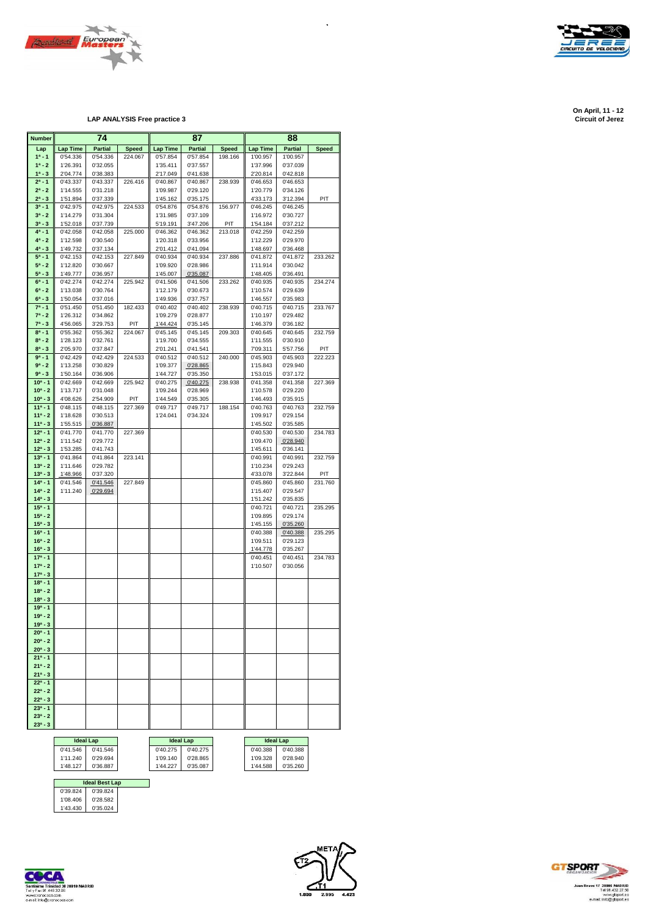



**Circuit of Jerez LAP ANALYSIS Free practice 3 Circuit of Jerez**

| <b>Number</b>            |                      | 74                   |              |                      | 87                   | 88           |                      |                      |              |  |
|--------------------------|----------------------|----------------------|--------------|----------------------|----------------------|--------------|----------------------|----------------------|--------------|--|
| Lap                      | <b>Lap Time</b>      | <b>Partial</b>       | <b>Speed</b> | Lap Time             | <b>Partial</b>       | <b>Speed</b> | <b>Lap Time</b>      | <b>Partial</b>       | <b>Speed</b> |  |
| $1^a - 1$                | 0'54.336             | 0'54.336             | 224.067      | 0'57.854             | 0'57.854             | 198.166      | 1'00.957             | 1'00.957             |              |  |
| $1^a - 2$                | 1'26.391             | 0'32.055             |              | 1'35.411             | 0'37.557             |              | 1'37.996             | 0'37.039             |              |  |
| $1^a - 3$                | 2'04.774             | 0'38.383             |              | 2'17.049             | 0'41.638             |              | 2'20.814             | 0'42.818             |              |  |
| $2^a - 1$<br>$2^a - 2$   | 0'43.337<br>1'14.555 | 0'43.337<br>0'31.218 | 226.416      | 0'40.867<br>1'09.987 | 0'40.867<br>0'29.120 | 238.939      | 0'46.653<br>1'20.779 | 0'46.653<br>0'34.126 |              |  |
| $2^a - 3$                | 1'51.894             | 0'37.339             |              | 1'45.162             | 0'35.175             |              | 4'33.173             | 3'12.394             | PIT          |  |
| $3^a - 1$                | 0'42.975             | 0'42.975             | 224.533      | 0'54.876             | 0'54.876             | 156.977      | 0'46.245             | 0'46.245             |              |  |
| $3^a - 2$                | 1'14.279             | 0'31.304             |              | 1'31.985             | 0'37.109             |              | 1'16.972             | 0'30.727             |              |  |
| $3^a - 3$                | 1'52.018             | 0'37.739             |              | 5'19.191             | 3'47.206             | PIT          | 1'54.184             | 0'37.212             |              |  |
| $4^a - 1$                | 0'42.058             | 0'42.058             | 225.000      | 0'46.362             | 0'46.362             | 213.018      | 0'42.259             | 0'42.259             |              |  |
| $4^a - 2$                | 1'12.598             | 0'30.540             |              | 1'20.318             | 0'33.956             |              | 1'12.229             | 0'29.970             |              |  |
| $4^a - 3$                | 1'49.732             | 0'37.134             |              | 2'01.412             | 0'41.094             |              | 1'48.697             | 0'36.468             |              |  |
| $5^a - 1$                | 0'42.153             | 0'42.153             | 227.849      | 0'40.934             | 0'40.934             | 237.886      | 0'41.872             | 0'41.872             | 233.262      |  |
| $5^a - 2$<br>$5^a - 3$   | 1'12.820<br>1'49.777 | 0'30.667             |              | 1'09.920<br>1'45.007 | 0'28.986<br>0'35.087 |              | 1'11.914<br>1'48.405 | 0'30.042<br>0'36.491 |              |  |
| $6^a - 1$                | 0'42.274             | 0'36.957<br>0'42.274 | 225.942      | 0'41.506             | 0'41.506             | 233.262      | 0'40.935             | 0'40.935             | 234.274      |  |
| $6^a - 2$                | 1'13.038             | 0'30.764             |              | 1'12.179             | 0'30.673             |              | 1'10.574             | 0'29.639             |              |  |
| $6^a - 3$                | 1'50.054             | 0'37.016             |              | 1'49.936             | 0'37.757             |              | 1'46.557             | 0'35.983             |              |  |
| $7^a - 1$                | 0'51.450             | 0'51.450             | 182.433      | 0'40.402             | 0'40.402             | 238.939      | 0'40.715             | 0'40.715             | 233.767      |  |
| $7^a - 2$                | 1'26.312             | 0'34.862             |              | 1'09.279             | 0'28.877             |              | 1'10.197             | 0'29.482             |              |  |
| $7^a - 3$                | 4'56.065             | 3'29.753             | PIT          | 1'44.424             | 0'35.145             |              | 1'46.379             | 0'36.182             |              |  |
| $8^{a} - 1$              | 0'55.362             | 0'55.362             | 224.067      | 0'45.145             | 0'45.145             | 209.303      | 0'40.645             | 0'40.645             | 232.759      |  |
| $8^a - 2$                | 1'28.123             | 0'32.761             |              | 1'19.700             | 0'34.555             |              | 1'11.555             | 0'30.910             |              |  |
| $8^a - 3$<br>$9a - 1$    | 2'05.970             | 0'37.847             |              | 2'01.241             | 0'41.541<br>0'40.512 |              | 7'09.311             | 5'57.756             | PIT          |  |
| $9a - 2$                 | 0'42.429<br>1'13.258 | 0'42.429<br>0'30.829 | 224.533      | 0'40.512<br>1'09.377 | 0'28.865             | 240.000      | 0'45.903<br>1'15.843 | 0'45.903<br>0'29.940 | 222.223      |  |
| $9^a - 3$                | 1'50.164             | 0'36.906             |              | 1'44.727             | 0'35.350             |              | 1'53.015             | 0'37.172             |              |  |
| $10^{a} - 1$             | 0'42.669             | 0'42.669             | 225.942      | 0'40.275             | 0'40.275             | 238.938      | 0'41.358             | 0'41.358             | 227.369      |  |
| $10^a - 2$               | 1'13.717             | 0'31.048             |              | 1'09.244             | 0'28.969             |              | 1'10.578             | 0'29.220             |              |  |
| $10^a - 3$               | 4'08.626             | 2'54.909             | PIT          | 1'44.549             | 0'35.305             |              | 1'46.493             | 0'35.915             |              |  |
| $11a - 1$                | 0'48.115             | 0'48.115             | 227.369      | 0'49.717             | 0'49.717             | 188.154      | 0'40.763             | 0'40.763             | 232.759      |  |
| $11a - 2$                | 1'18.628             | 0'30.513             |              | 1'24.041             | 0'34.324             |              | 1'09.917             | 0'29.154             |              |  |
| $11a - 3$                | 1'55.515             | 0'36.887             |              |                      |                      |              | 1'45.502             | 0'35.585             |              |  |
| $12^a - 1$               | 0'41.770             | 0'41.770             | 227.369      |                      |                      |              | 0'40.530             | 0'40.530             | 234.783      |  |
| $12^a - 2$<br>$12^a - 3$ | 1'11.542<br>1'53.285 | 0'29.772<br>0'41.743 |              |                      |                      |              | 1'09.470<br>1'45.611 | 0'28.940<br>0'36.141 |              |  |
| $13a - 1$                | 0'41.864             | 0'41.864             | 223.141      |                      |                      |              | 0'40.991             | 0'40.991             | 232.759      |  |
| $13^a - 2$               | 1'11.646             | 0'29.782             |              |                      |                      |              | 1'10.234             | 0'29.243             |              |  |
| $13^a - 3$               | 1'48.966             | 0'37.320             |              |                      |                      |              | 4'33.078             | 3'22.844             | PIT          |  |
| $14a - 1$                | 0'41.546             | 0'41.546             | 227.849      |                      |                      |              | 0'45.860             | 0'45.860             | 231.760      |  |
| $14a - 2$                | 1'11.240             | 0'29.694             |              |                      |                      |              | 1'15.407             | 0'29.547             |              |  |
| $14^a - 3$               |                      |                      |              |                      |                      |              | 1'51.242             | 0'35.835             |              |  |
| $15^a - 1$               |                      |                      |              |                      |                      |              | 0'40.721             | 0'40.721             | 235.295      |  |
| $15^a - 2$               |                      |                      |              |                      |                      |              | 1'09.895             | 0'29.174             |              |  |
| $15^a - 3$<br>$16^a - 1$ |                      |                      |              |                      |                      |              | 1'45.155<br>0'40.388 | 0'35.260<br>0'40.388 | 235.295      |  |
| $16^a - 2$               |                      |                      |              |                      |                      |              | 1'09.511             | 0'29.123             |              |  |
| $16^a - 3$               |                      |                      |              |                      |                      |              | 1'44.778             | 0'35.267             |              |  |
| $17a - 1$                |                      |                      |              |                      |                      |              | 0'40.451             | 0'40.451             | 234.783      |  |
| $17a - 2$                |                      |                      |              |                      |                      |              | 1'10.507             | 0'30.056             |              |  |
| $17a - 3$                |                      |                      |              |                      |                      |              |                      |                      |              |  |
| $18a - 1$                |                      |                      |              |                      |                      |              |                      |                      |              |  |
| $18a - 2$                |                      |                      |              |                      |                      |              |                      |                      |              |  |
| $18^a - 3$<br>$19a - 1$  |                      |                      |              |                      |                      |              |                      |                      |              |  |
| $19a - 2$                |                      |                      |              |                      |                      |              |                      |                      |              |  |
| $19a - 3$                |                      |                      |              |                      |                      |              |                      |                      |              |  |
| $20^a - 1$               |                      |                      |              |                      |                      |              |                      |                      |              |  |
| $20^a - 2$               |                      |                      |              |                      |                      |              |                      |                      |              |  |
| $20^a - 3$               |                      |                      |              |                      |                      |              |                      |                      |              |  |
| $21^a - 1$               |                      |                      |              |                      |                      |              |                      |                      |              |  |
| $21^a - 2$               |                      |                      |              |                      |                      |              |                      |                      |              |  |
| $21^a - 3$               |                      |                      |              |                      |                      |              |                      |                      |              |  |
| $22^a - 1$<br>$22^a - 2$ |                      |                      |              |                      |                      |              |                      |                      |              |  |
| $22^a - 3$               |                      |                      |              |                      |                      |              |                      |                      |              |  |
| $23a - 1$                |                      |                      |              |                      |                      |              |                      |                      |              |  |
| $23a - 2$                |                      |                      |              |                      |                      |              |                      |                      |              |  |
| $23^a - 3$               |                      |                      |              |                      |                      |              |                      |                      |              |  |
|                          |                      |                      |              |                      |                      |              |                      |                      |              |  |
|                          |                      | <b>Ideal Lap</b>     |              |                      | <b>Ideal Lap</b>     |              | <b>Ideal Lap</b>     |                      |              |  |

| <b>Ideal Lap</b> |          | <b>Ideal Lap</b> |          |          | <b>Ideal Lap</b> |
|------------------|----------|------------------|----------|----------|------------------|
| 0'41.546         | 0'41.546 | 0'40.275         | 0'40.275 | 0'40.388 | 0'40.388         |
| 1'11.240         | 0'29.694 | 1'09.140         | 0'28.865 | 1'09.328 | 0'28.940         |
| 1'48.127         | 0'36.887 | 1'44.227         | 0'35.087 | 1'44.588 | 0'35.260         |
|                  |          |                  |          |          |                  |

| 0'40.275 |  |
|----------|--|
| 1'09.140 |  |
| 44.227   |  |
|          |  |

| Ideal Lap |          |  |  |  |  |  |  |
|-----------|----------|--|--|--|--|--|--|
| 0'40.388  | 0'40.388 |  |  |  |  |  |  |
| 1'09.328  | 0'28.940 |  |  |  |  |  |  |
| 1'44.588  | 0'35.260 |  |  |  |  |  |  |

|          | <b>Ideal Best Lap</b> |  |
|----------|-----------------------|--|
| 0'39.824 | 0'39.824              |  |
| 1'08.406 | 0'28.582              |  |
| 1'43.430 | 0'35.024              |  |





 $\ddot{\phantom{0}}$ 



**On April, 11 - 12 On April, 11 - 12**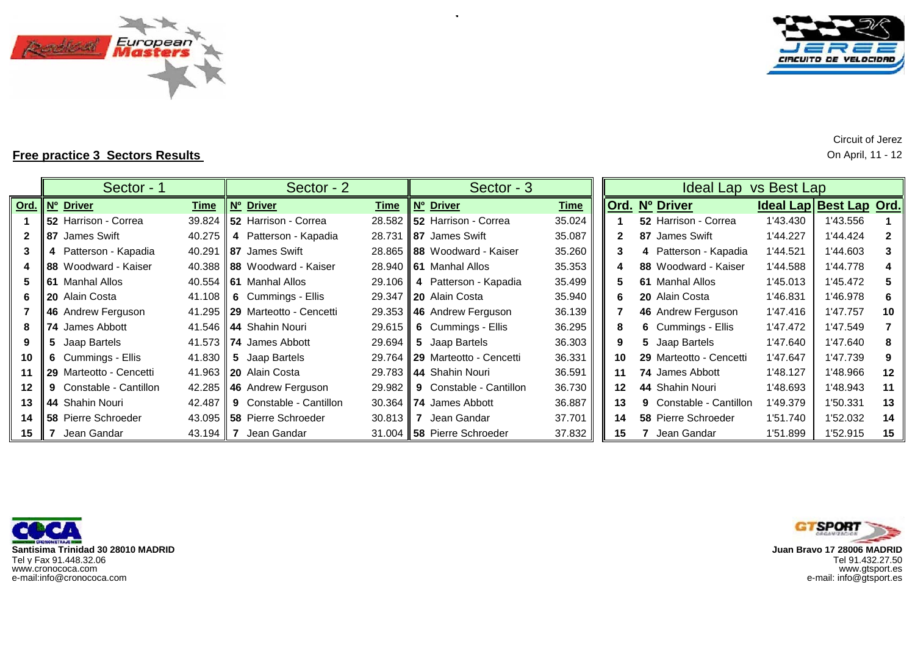



**Free practice 3 Sectors Results** On April, 11 - 12

|         |    | Sector - 1              |             | Sector - 2                            |             |   | Sector - 3                      |             |    | Ideal Lap vs Best Lap          |          |                         |              |
|---------|----|-------------------------|-------------|---------------------------------------|-------------|---|---------------------------------|-------------|----|--------------------------------|----------|-------------------------|--------------|
|         |    | Ord.   Nº Driver        | <b>Time</b> | Nº Driver                             | <b>Time</b> |   | Nº Driver                       | <b>Time</b> |    | Ord. Nº Driver                 |          | Ideal Lap Best Lap Ord. |              |
|         |    | 52 Harrison - Correa    |             | 39.824   52 Harrison - Correa         | 28.582      |   | 52 Harrison - Correa            | 35.024      |    | 52 Harrison - Correa           | 1'43.430 | 1'43.556                |              |
|         |    | <b>87</b> James Swift   | 40.275      | 4 Patterson - Kapadia                 | 28.731      |   | <b>87 James Swift</b>           | 35.087      |    | 87 James Swift                 | 1'44.227 | 1'44.424                | $\mathbf{2}$ |
|         |    | 4 Patterson - Kapadia   | 40.291      | <b>187</b> James Swift                | 28.865      |   | 88 Woodward - Kaiser            | 35.260      | 3  | 4 Patterson - Kapadia          | 1'44.521 | 1'44.603                | 3            |
| 4       |    | 88 Woodward - Kaiser    |             | 40.388 <b>88</b> Woodward - Kaiser    | 28.940      |   | <b>61</b> Manhal Allos          | 35.353      |    | 88 Woodward - Kaiser           | 1'44.588 | 1'44.778                | 4            |
| 5.      |    | <b>61</b> Manhal Allos  |             | 40.554 <b>61</b> Manhal Allos         | 29.106      |   | 4 Patterson - Kapadia           | 35.499      | 5. | 61 Manhal Allos                | 1'45.013 | 1'45.472                | 5            |
| 6       |    | <b>20</b> Alain Costa   |             | 41.108 $\parallel$ 6 Cummings - Ellis | 29.347      |   | <b>20</b> Alain Costa           | 35.940      | 6  | 20 Alain Costa                 | 1'46.831 | 1'46.978                | -6           |
|         |    | 46 Andrew Ferguson      |             | 41.295 29 Marteotto - Cencetti        | 29.353      |   | 46 Andrew Ferguson              | 36.139      |    | 46 Andrew Ferguson             | 1'47.416 | 1'47.757                | 10           |
| 8       |    | <b>74 James Abbott</b>  |             | 41.546 <b>44</b> Shahin Nouri         | 29.615      |   | 6 Cummings - Ellis              | 36.295      |    | 6 Cummings - Ellis             | 1'47.472 | 1'47.549                |              |
| 9       | 5. | Jaap Bartels            |             | 41.573 <b>74</b> James Abbott         | 29.694      | 5 | Jaap Bartels                    | 36.303      | 9. | 5 Jaap Bartels                 | 1'47.640 | 1'47.640                | 8            |
| 10      |    | 6 Cummings - Ellis      |             | 41.830 $\parallel$ 5 Jaap Bartels     | 29.764      |   | <b>129</b> Marteotto - Cencetti | 36.331      | 10 | 29 Marteotto - Cencetti        | 1'47.647 | 1'47.739                | 9            |
| 11      |    | 29 Marteotto - Cencetti |             | 41.963 <b>20</b> Alain Costa          | 29.783      |   | 44 Shahin Nouri                 | 36.591      | 11 | 74 James Abbott                | 1'48.127 | 1'48.966                | 12           |
| $12 \,$ | 9  | Constable - Cantillon   |             | 42.285 46 Andrew Ferguson             | 29.982      |   | <b>9</b> Constable - Cantillon  | 36.730      | 12 | 44 Shahin Nouri                | 1'48.693 | 1'48.943                | 11           |
| 13      |    | 44 Shahin Nouri         | 42.487      | <b>9</b> Constable - Cantillon        | 30.364      |   | 74 James Abbott                 | 36.887      | 13 | <b>9</b> Constable - Cantillon | 1'49.379 | 1'50.331                | 13           |
| 14      |    | 58 Pierre Schroeder     |             | 43.095    58 Pierre Schroeder         | 30.813      |   | Jean Gandar                     | 37.701      | 14 | <b>58 Pierre Schroeder</b>     | 1'51.740 | 1'52.032                | 14           |
| 15      |    | Jean Gandar             | 43.194   7  | Jean Gandar                           |             |   | 31.004   58 Pierre Schroeder    | 37.832      | 15 | Jean Gandar                    | 1'51.899 | 1'52.915                | 15           |

J **Santisima Trinidad 30 28010 MADRID**Tel y Fax 91.448.32.06 Tel 91.432.27.50 www.cronococa.com<br>e-mail:info@cronococa.com



www.gtsport.es e-mail: info@gtsport.es

Circuit of Jerez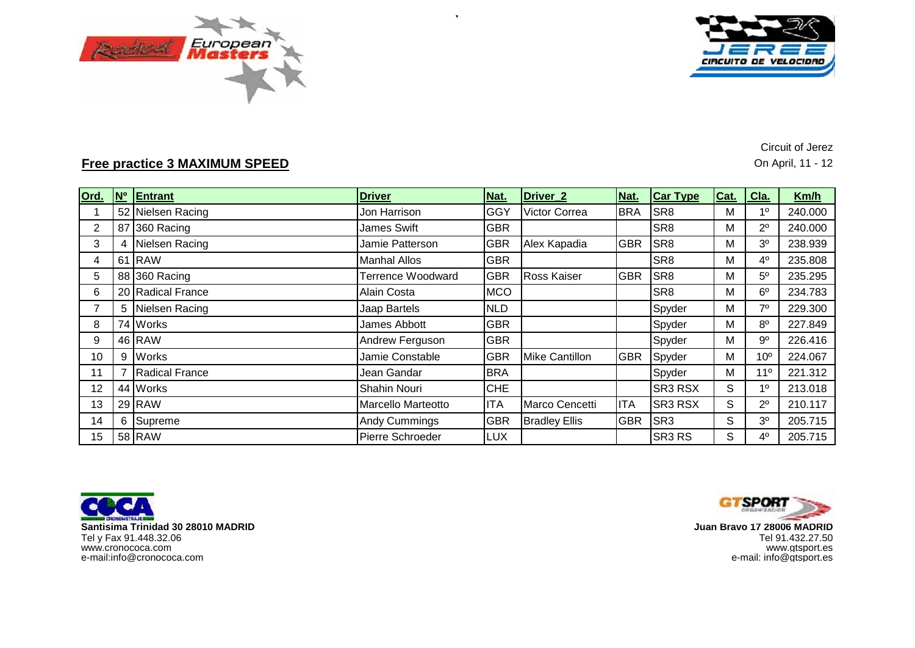



**Free practice 3 MAXIMUM SPEED** On April, 11 - 12

Circuit of Jerez

| Ord.           | <b>No</b> | Entrant               | <b>Driver</b>             | Nat.       | Driver <sub>2</sub>  | Nat.       | <b>Car Type</b>                | Cat. | Cla.            | Km/h    |
|----------------|-----------|-----------------------|---------------------------|------------|----------------------|------------|--------------------------------|------|-----------------|---------|
|                |           | 52 Nielsen Racing     | Jon Harrison              | GGY        | <b>Victor Correa</b> | <b>BRA</b> | SR <sub>8</sub>                | М    | 1 <sup>0</sup>  | 240.000 |
| $\overline{2}$ |           | 87 360 Racing         | James Swift               | <b>GBR</b> |                      |            | SR <sub>8</sub>                | М    | $2^{\circ}$     | 240.000 |
| 3              | 4         | Nielsen Racing        | Jamie Patterson           | <b>GBR</b> | Alex Kapadia         | <b>GBR</b> | SR <sub>8</sub>                | М    | 3 <sup>o</sup>  | 238.939 |
| 4              |           | 61 RAW                | <b>Manhal Allos</b>       | <b>GBR</b> |                      |            | SR <sub>8</sub>                | М    | $4^{\circ}$     | 235.808 |
| 5              |           | 88 360 Racing         | Terrence Woodward         | <b>GBR</b> | <b>Ross Kaiser</b>   | <b>GBR</b> | SR <sub>8</sub>                | М    | $5^{\circ}$     | 235.295 |
| 6              |           | 20 Radical France     | Alain Costa               | <b>MCO</b> |                      |            | SR <sub>8</sub>                | Μ    | $6^{\circ}$     | 234.783 |
| 7              | 5         | Nielsen Racing        | Jaap Bartels              | <b>NLD</b> |                      |            | Spyder                         | М    | $7^\circ$       | 229.300 |
| 8              |           | 74 Works              | James Abbott              | <b>GBR</b> |                      |            | Spyder                         | М    | $8^{\circ}$     | 227.849 |
| 9              |           | 46 RAW                | Andrew Ferguson           | <b>GBR</b> |                      |            | Spyder                         | Μ    | $9^{\circ}$     | 226.416 |
| 10             | 9         | <b>Works</b>          | Jamie Constable           | <b>GBR</b> | Mike Cantillon       | <b>GBR</b> | Spyder                         | M    | 10 <sup>o</sup> | 224.067 |
| 11             |           | <b>Radical France</b> | Jean Gandar               | <b>BRA</b> |                      |            | Spyder                         | M    | $11^{\circ}$    | 221.312 |
| 12             |           | 44 Works              | Shahin Nouri              | <b>CHE</b> |                      |            | <b>SR3 RSX</b>                 | S    | 1 <sup>0</sup>  | 213.018 |
| 13             |           | 29 RAW                | <b>Marcello Marteotto</b> | <b>ITA</b> | Marco Cencetti       | <b>ITA</b> | SR3 RSX                        | S    | $2^{\circ}$     | 210.117 |
| 14             | 6         | Supreme               | <b>Andy Cummings</b>      | <b>GBR</b> | <b>Bradley Ellis</b> | <b>GBR</b> | SR <sub>3</sub>                | S    | 3 <sup>o</sup>  | 205.715 |
| 15             |           | 58 RAW                | Pierre Schroeder          | <b>LUX</b> |                      |            | SR <sub>3</sub> R <sub>S</sub> | S    | $4^{\circ}$     | 205.715 |

 $\sim$ 





 **Juan Bravo 17 28006 MADRID** www.gtsport.es e-mail: info@gtsport.es